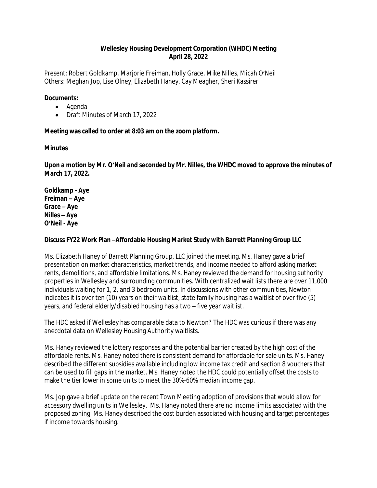# **Wellesley Housing Development Corporation (WHDC) Meeting April 28, 2022**

Present: Robert Goldkamp, Marjorie Freiman, Holly Grace, Mike Nilles, Micah O'Neil Others: Meghan Jop, Lise Olney, Elizabeth Haney, Cay Meagher, Sheri Kassirer

## **Documents:**

- Agenda
- Draft Minutes of March 17, 2022

## **Meeting was called to order at 8:03 am on the zoom platform.**

## **Minutes**

**Upon a motion by Mr. O'Neil and seconded by Mr. Nilles, the WHDC moved to approve the minutes of March 17, 2022.**

**Goldkamp - Aye Freiman – Aye Grace – Aye Nilles – Aye O'Neil - Aye**

## **Discuss FY22 Work Plan –Affordable Housing Market Study with Barrett Planning Group LLC**

Ms. Elizabeth Haney of Barrett Planning Group, LLC joined the meeting. Ms. Haney gave a brief presentation on market characteristics, market trends, and income needed to afford asking market rents, demolitions, and affordable limitations. Ms. Haney reviewed the demand for housing authority properties in Wellesley and surrounding communities. With centralized wait lists there are over 11,000 individuals waiting for 1, 2, and 3 bedroom units. In discussions with other communities, Newton indicates it is over ten (10) years on their waitlist, state family housing has a waitlist of over five (5) years, and federal elderly/disabled housing has a two – five year waitlist.

The HDC asked if Wellesley has comparable data to Newton? The HDC was curious if there was any anecdotal data on Wellesley Housing Authority waitlists.

Ms. Haney reviewed the lottery responses and the potential barrier created by the high cost of the affordable rents. Ms. Haney noted there is consistent demand for affordable for sale units. Ms. Haney described the different subsidies available including low income tax credit and section 8 vouchers that can be used to fill gaps in the market. Ms. Haney noted the HDC could potentially offset the costs to make the tier lower in some units to meet the 30%-60% median income gap.

Ms. Jop gave a brief update on the recent Town Meeting adoption of provisions that would allow for accessory dwelling units in Wellesley. Ms. Haney noted there are no income limits associated with the proposed zoning. Ms. Haney described the cost burden associated with housing and target percentages if income towards housing.